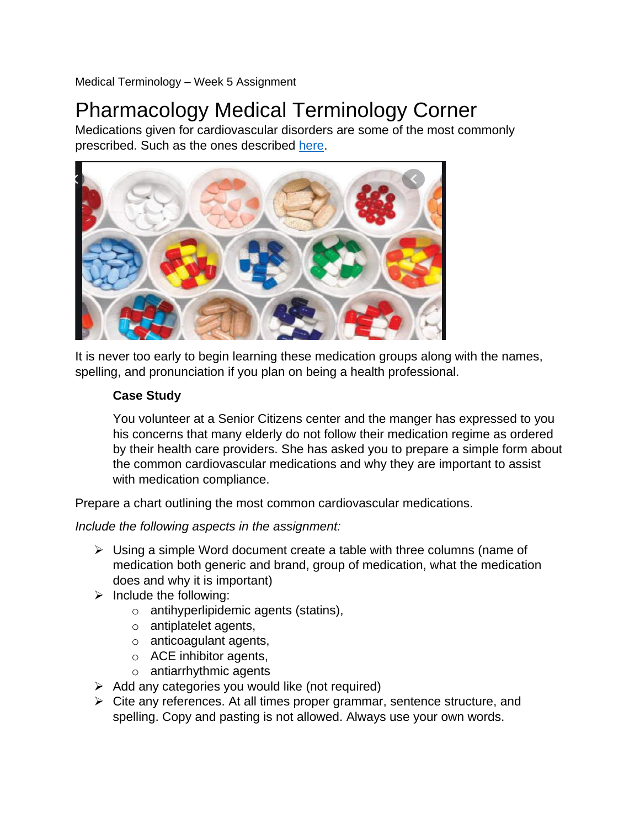Medical Terminology – Week 5 Assignment

## Pharmacology Medical Terminology Corner

Medications given for cardiovascular disorders are some of the most commonly prescribed. Such as the ones described [here.](https://hackingafrica.com/wp-content/uploads/2019/01/Malaria-Drugs.jpeg)



It is never too early to begin learning these medication groups along with the names, spelling, and pronunciation if you plan on being a health professional.

## **Case Study**

You volunteer at a Senior Citizens center and the manger has expressed to you his concerns that many elderly do not follow their medication regime as ordered by their health care providers. She has asked you to prepare a simple form about the common cardiovascular medications and why they are important to assist with medication compliance.

Prepare a chart outlining the most common cardiovascular medications.

*Include the following aspects in the assignment:*

- $\triangleright$  Using a simple Word document create a table with three columns (name of medication both generic and brand, group of medication, what the medication does and why it is important)
- $\triangleright$  Include the following:
	- o antihyperlipidemic agents (statins),
	- o antiplatelet agents,
	- o anticoagulant agents,
	- o ACE inhibitor agents,
	- o antiarrhythmic agents
- $\triangleright$  Add any categories you would like (not required)
- $\triangleright$  Cite any references. At all times proper grammar, sentence structure, and spelling. Copy and pasting is not allowed. Always use your own words.